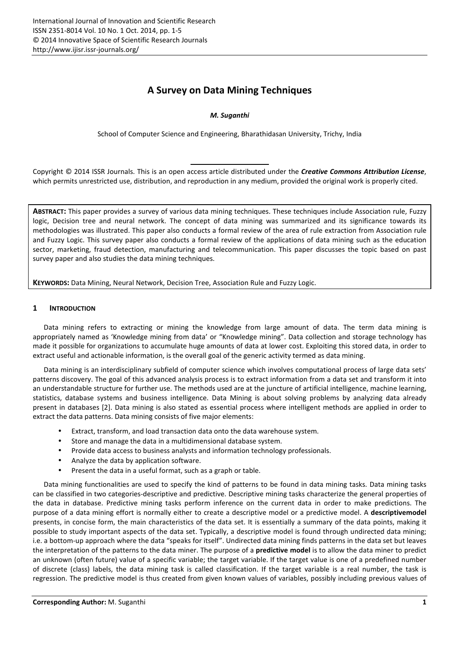# **A Survey on Data Mining Techniques**

## *M. Suganthi*

School of Computer Science and Engineering, Bharathidasan University, Trichy, India

Copyright © 2014 ISSR Journals. This is an open access article distributed under the *Creative Commons Attribution License*, which permits unrestricted use, distribution, and reproduction in any medium, provided the original work is properly cited.

**ABSTRACT:** This paper provides a survey of various data mining techniques. These techniques include Association rule, Fuzzy logic, Decision tree and neural network. The concept of data mining was summarized and its significance towards its methodologies was illustrated. This paper also conducts a formal review of the area of rule extraction from Association rule and Fuzzy Logic. This survey paper also conducts a formal review of the applications of data mining such as the education sector, marketing, fraud detection, manufacturing and telecommunication. This paper discusses the topic based on past survey paper and also studies the data mining techniques.

**KEYWORDS:** Data Mining, Neural Network, Decision Tree, Association Rule and Fuzzy Logic.

### **1 INTRODUCTION**

Data mining refers to extracting or mining the knowledge from large amount of data. The term data mining is appropriately named as 'Knowledge mining from data' or "Knowledge mining". Data collection and storage technology has made it possible for organizations to accumulate huge amounts of data at lower cost. Exploiting this stored data, in order to extract useful and actionable information, is the overall goal of the generic activity termed as data mining.

Data mining is an interdisciplinary subfield of computer science which involves computational process of large data sets' patterns discovery. The goal of this advanced analysis process is to extract information from a data set and transform it into an understandable structure for further use. The methods used are at the juncture of artificial intelligence, machine learning, statistics, database systems and business intelligence. Data Mining is about solving problems by analyzing data already present in databases [2]. Data mining is also stated as essential process where intelligent methods are applied in order to extract the data patterns. Data mining consists of five major elements:

- Extract, transform, and load transaction data onto the data warehouse system.
- Store and manage the data in a multidimensional database system.
- Provide data access to business analysts and information technology professionals.
- Analyze the data by application software.
- Present the data in a useful format, such as a graph or table.

Data mining functionalities are used to specify the kind of patterns to be found in data mining tasks. Data mining tasks can be classified in two categories-descriptive and predictive. Descriptive mining tasks characterize the general properties of the data in database. Predictive mining tasks perform inference on the current data in order to make predictions. The purpose of a data mining effort is normally either to create a descriptive model or a predictive model. A **descriptivemodel**  presents, in concise form, the main characteristics of the data set. It is essentially a summary of the data points, making it possible to study important aspects of the data set. Typically, a descriptive model is found through undirected data mining; i.e. a bottom-up approach where the data "speaks for itself". Undirected data mining finds patterns in the data set but leaves the interpretation of the patterns to the data miner. The purpose of a **predictive model** is to allow the data miner to predict an unknown (often future) value of a specific variable; the target variable. If the target value is one of a predefined number of discrete (class) labels, the data mining task is called classification. If the target variable is a real number, the task is regression. The predictive model is thus created from given known values of variables, possibly including previous values of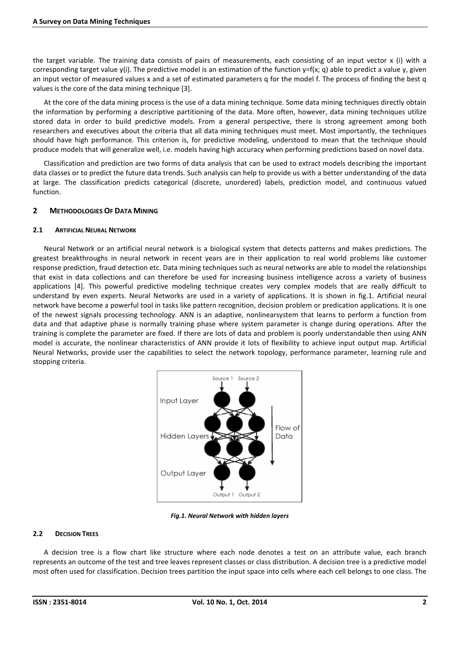the target variable. The training data consists of pairs of measurements, each consisting of an input vector x (i) with a corresponding target value y(i). The predictive model is an estimation of the function  $y=f(x; q)$  able to predict a value y, given an input vector of measured values x and a set of estimated parameters q for the model f. The process of finding the best q values is the core of the data mining technique [3].

At the core of the data mining process is the use of a data mining technique. Some data mining techniques directly obtain the information by performing a descriptive partitioning of the data. More often, however, data mining techniques utilize stored data in order to build predictive models. From a general perspective, there is strong agreement among both researchers and executives about the criteria that all data mining techniques must meet. Most importantly, the techniques should have high performance. This criterion is, for predictive modeling, understood to mean that the technique should produce models that will generalize well, i.e. models having high accuracy when performing predictions based on novel data.

Classification and prediction are two forms of data analysis that can be used to extract models describing the important data classes or to predict the future data trends. Such analysis can help to provide us with a better understanding of the data at large. The classification predicts categorical (discrete, unordered) labels, prediction model, and continuous valued function.

## **2 METHODOLOGIES OF DATA MINING**

### **2.1 ARTIFICIAL NEURAL NETWORK**

Neural Network or an artificial neural network is a biological system that detects patterns and makes predictions. The greatest breakthroughs in neural network in recent years are in their application to real world problems like customer response prediction, fraud detection etc. Data mining techniques such as neural networks are able to model the relationships that exist in data collections and can therefore be used for increasing business intelligence across a variety of business applications [4]. This powerful predictive modeling technique creates very complex models that are really difficult to understand by even experts. Neural Networks are used in a variety of applications. It is shown in fig.1. Artificial neural network have become a powerful tool in tasks like pattern recognition, decision problem or predication applications. It is one of the newest signals processing technology. ANN is an adaptive, nonlinearsystem that learns to perform a function from data and that adaptive phase is normally training phase where system parameter is change during operations. After the training is complete the parameter are fixed. If there are lots of data and problem is poorly understandable then using ANN model is accurate, the nonlinear characteristics of ANN provide it lots of flexibility to achieve input output map. Artificial Neural Networks, provide user the capabilities to select the network topology, performance parameter, learning rule and stopping criteria.



*Fig.1. Neural Network with hidden layers* 

## **2.2 DECISION TREES**

A decision tree is a flow chart like structure where each node denotes a test on an attribute value, each branch represents an outcome of the test and tree leaves represent classes or class distribution. A decision tree is a predictive model most often used for classification. Decision trees partition the input space into cells where each cell belongs to one class. The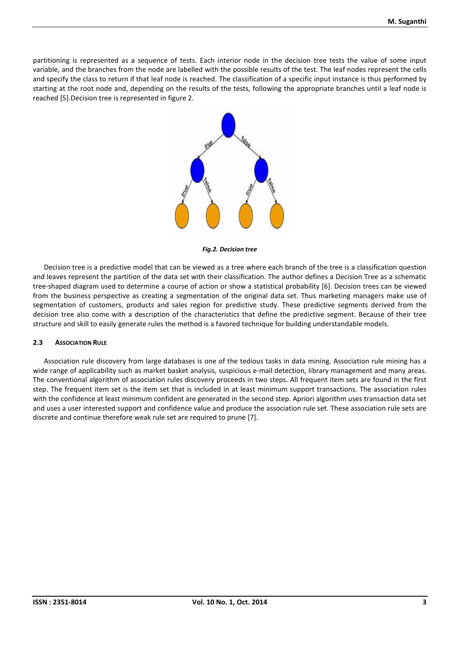partitioning is represented as a sequence of tests. Each interior node in the decision tree tests the value of some input variable, and the branches from the node are labelled with the possible results of the test. The leaf nodes represent the cells and specify the class to return if that leaf node is reached. The classification of a specific input instance is thus performed by starting at the root node and, depending on the results of the tests, following the appropriate branches until a leaf node is reached [5].Decision tree is represented in figure 2.



*Fig.2. Decision tree* 

Decision tree is a predictive model that can be viewed as a tree where each branch of the tree is a classification question and leaves represent the partition of the data set with their classification. The author defines a Decision Tree as a schematic tree-shaped diagram used to determine a course of action or show a statistical probability [6]. Decision trees can be viewed from the business perspective as creating a segmentation of the original data set. Thus marketing managers make use of segmentation of customers, products and sales region for predictive study. These predictive segments derived from the decision tree also come with a description of the characteristics that define the predictive segment. Because of their tree structure and skill to easily generate rules the method is a favored technique for building understandable models.

#### **2.3 ASSOCIATION RULE**

Association rule discovery from large databases is one of the tedious tasks in data mining. Association rule mining has a wide range of applicability such as market basket analysis, suspicious e-mail detection, library management and many areas. The conventional algorithm of association rules discovery proceeds in two steps. All frequent item sets are found in the first step. The frequent item set is the item set that is included in at least minimum support transactions. The association rules with the confidence at least minimum confident are generated in the second step. Apriori algorithm uses transaction data set and uses a user interested support and confidence value and produce the association rule set. These association rule sets are discrete and continue therefore weak rule set are required to prune [7].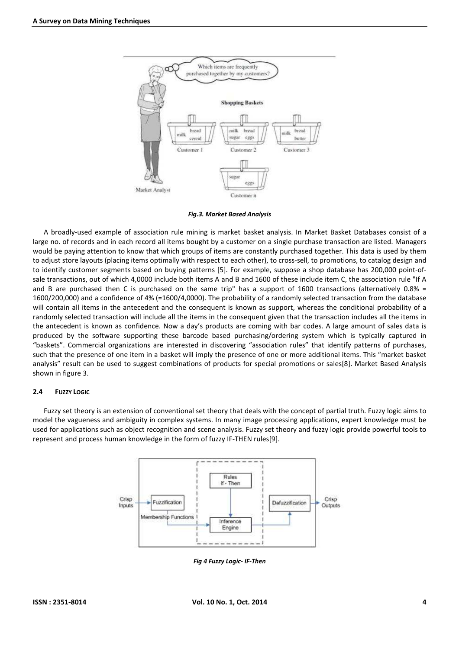

*Fig.3. Market Based Analysis* 

A broadly-used example of association rule mining is market basket analysis. In Market Basket Databases consist of a large no. of records and in each record all items bought by a customer on a single purchase transaction are listed. Managers would be paying attention to know that which groups of items are constantly purchased together. This data is used by them to adjust store layouts (placing items optimally with respect to each other), to cross-sell, to promotions, to catalog design and to identify customer segments based on buying patterns [5]. For example, suppose a shop database has 200,000 point-ofsale transactions, out of which 4,0000 include both items A and B and 1600 of these include item C, the association rule "If A and B are purchased then C is purchased on the same trip" has a support of 1600 transactions (alternatively  $0.8%$  = 1600/200,000) and a confidence of 4% (=1600/4,0000). The probability of a randomly selected transaction from the database will contain all items in the antecedent and the consequent is known as support, whereas the conditional probability of a randomly selected transaction will include all the items in the consequent given that the transaction includes all the items in the antecedent is known as confidence. Now a day's products are coming with bar codes. A large amount of sales data is produced by the software supporting these barcode based purchasing/ordering system which is typically captured in "baskets". Commercial organizations are interested in discovering "association rules" that identify patterns of purchases, such that the presence of one item in a basket will imply the presence of one or more additional items. This "market basket analysis" result can be used to suggest combinations of products for special promotions or sales[8]. Market Based Analysis shown in figure 3.

#### **2.4 FUZZY LOGIC**

Fuzzy set theory is an extension of conventional set theory that deals with the concept of partial truth. Fuzzy logic aims to model the vagueness and ambiguity in complex systems. In many image processing applications, expert knowledge must be used for applications such as object recognition and scene analysis. Fuzzy set theory and fuzzy logic provide powerful tools to represent and process human knowledge in the form of fuzzy IF-THEN rules[9].



*Fig 4 Fuzzy Logic- IF-Then*